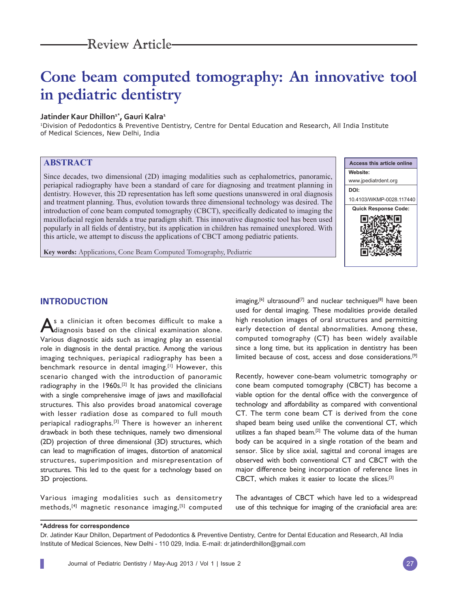# **Cone beam computed tomography: An innovative tool in pediatric dentistry**

## Jatinder Kaur Dhillon<sup>1\*</sup>, Gauri Kalra<sup>1</sup>

1Division of Pedodontics & Preventive Dentistry, Centre for Dental Education and Research, All India Institute of Medical Sciences, New Delhi, India

# **ABSTRACT**

Since decades, two dimensional (2D) imaging modalities such as cephalometrics, panoramic, periapical radiography have been a standard of care for diagnosing and treatment planning in dentistry. However, this 2D representation has left some questions unanswered in oral diagnosis and treatment planning. Thus, evolution towards three dimensional technology was desired. The introduction of cone beam computed tomography (CBCT), specifically dedicated to imaging the maxillofacial region heralds a true paradigm shift. This innovative diagnostic tool has been used popularly in all fields of dentistry, but its application in children has remained unexplored. With this article, we attempt to discuss the applications of CBCT among pediatric patients.



**Key words:** Applications, Cone Beam Computed Tomography, Pediatric

## **INTRODUCTION**

As a clinician it often becomes difficult to make a diagnosis based on the clinical examination alone. Various diagnostic aids such as imaging play an essential role in diagnosis in the dental practice. Among the various imaging techniques, periapical radiography has been a benchmark resource in dental imaging.[1] However, this scenario changed with the introduction of panoramic radiography in the 1960s.[2] It has provided the clinicians with a single comprehensive image of jaws and maxillofacial structures. This also provides broad anatomical coverage with lesser radiation dose as compared to full mouth periapical radiographs.[3] There is however an inherent drawback in both these techniques, namely two dimensional (2D) projection of three dimensional (3D) structures, which can lead to magnification of images, distortion of anatomical structures, superimposition and misrepresentation of structures. This led to the quest for a technology based on 3D projections.

Various imaging modalities such as densitometry methods,[4] magnetic resonance imaging,[5] computed  $\text{imaging}$ ,  $[6]$  ultrasound<sup>[7]</sup> and nuclear techniques<sup>[8]</sup> have been used for dental imaging. These modalities provide detailed high resolution images of oral structures and permitting early detection of dental abnormalities. Among these, computed tomography (CT) has been widely available since a long time, but its application in dentistry has been limited because of cost, access and dose considerations.[9]

Recently, however cone-beam volumetric tomography or cone beam computed tomography (CBCT) has become a viable option for the dental office with the convergence of technology and affordability as compared with conventional CT. The term cone beam CT is derived from the cone shaped beam being used unlike the conventional CT, which utilizes a fan shaped beam.<sup>[2]</sup> The volume data of the human body can be acquired in a single rotation of the beam and sensor. Slice by slice axial, sagittal and coronal images are observed with both conventional CT and CBCT with the major difference being incorporation of reference lines in CBCT, which makes it easier to locate the slices.[3]

The advantages of CBCT which have led to a widespread use of this technique for imaging of the craniofacial area are:

#### **\*Address for correspondence**

Dr. Jatinder Kaur Dhillon, Department of Pedodontics & Preventive Dentistry, Centre for Dental Education and Research, All India Institute of Medical Sciences, New Delhi - 110 029, India. E-mail: dr.jatinderdhillon@gmail.com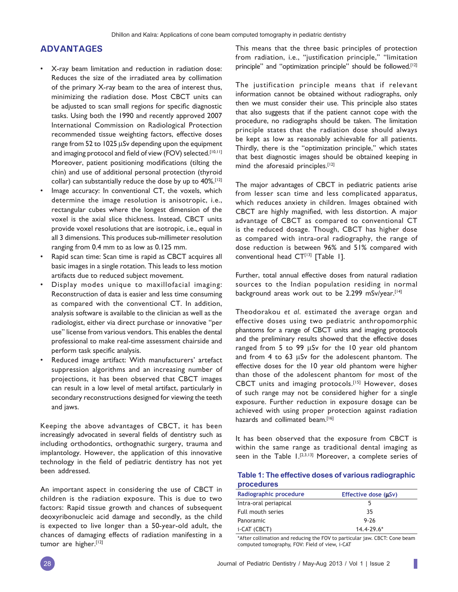## **ADVANTAGES**

- X-ray beam limitation and reduction in radiation dose: Reduces the size of the irradiated area by collimation of the primary X-ray beam to the area of interest thus, minimizing the radiation dose. Most CBCT units can be adjusted to scan small regions for specific diagnostic tasks. Using both the 1990 and recently approved 2007 International Commission on Radiological Protection recommended tissue weighting factors, effective doses range from 52 to 1025 µSv depending upon the equipment and imaging protocol and field of view (FOV) selected.<sup>[10,11]</sup> Moreover, patient positioning modifications (tilting the chin) and use of additional personal protection (thyroid collar) can substantially reduce the dose by up to 40%.<sup>[12]</sup>
- Image accuracy: In conventional CT, the voxels, which determine the image resolution is anisotropic, i.e., rectangular cubes where the longest dimension of the voxel is the axial slice thickness. Instead, CBCT units provide voxel resolutions that are isotropic, i.e., equal in all 3 dimensions. This produces sub-millimeter resolution ranging from 0.4 mm to as low as 0.125 mm.
- Rapid scan time: Scan time is rapid as CBCT acquires all basic images in a single rotation. This leads to less motion artifacts due to reduced subject movement.
- Display modes unique to maxillofacial imaging: Reconstruction of data is easier and less time consuming as compared with the conventional CT. In addition, analysis software is available to the clinician as well as the radiologist, either via direct purchase or innovative "per use" license from various vendors. This enables the dental professional to make real-time assessment chairside and perform task specific analysis.
- Reduced image artifact: With manufacturers' artefact suppression algorithms and an increasing number of projections, it has been observed that CBCT images can result in a low level of metal artifact, particularly in secondary reconstructions designed for viewing the teeth and jaws.

Keeping the above advantages of CBCT, it has been increasingly advocated in several fields of dentistry such as including orthodontics, orthognathic surgery, trauma and implantology. However, the application of this innovative technology in the field of pediatric dentistry has not yet been addressed.

An important aspect in considering the use of CBCT in children is the radiation exposure. This is due to two factors: Rapid tissue growth and chances of subsequent deoxyribonucleic acid damage and secondly, as the child is expected to live longer than a 50-year-old adult, the chances of damaging effects of radiation manifesting in a tumor are higher.<sup>[12]</sup>

This means that the three basic principles of protection from radiation, i.e., "justification principle," "limitation principle" and "optimization principle" should be followed.<sup>[12]</sup>

The justification principle means that if relevant information cannot be obtained without radiographs, only then we must consider their use. This principle also states that also suggests that if the patient cannot cope with the procedure, no radiographs should be taken. The limitation principle states that the radiation dose should always be kept as low as reasonably achievable for all patients. Thirdly, there is the ''optimization principle,'' which states that best diagnostic images should be obtained keeping in mind the aforesaid principles.<sup>[12]</sup>

The major advantages of CBCT in pediatric patients arise from lesser scan time and less complicated apparatus, which reduces anxiety in children. Images obtained with CBCT are highly magnified, with less distortion. A major advantage of CBCT as compared to conventional CT is the reduced dosage. Though, CBCT has higher dose as compared with intra-oral radiography, the range of dose reduction is between 96% and 51% compared with conventional head  $CT^{[13]}$  [Table 1].

Further, total annual effective doses from natural radiation sources to the Indian population residing in normal background areas work out to be 2.299 mSv/year.<sup>[14]</sup>

Theodorakou *et al*. estimated the average organ and effective doses using two pediatric anthropomorphic phantoms for a range of CBCT units and imaging protocols and the preliminary results showed that the effective doses ranged from 5 to 99 μSv for the 10 year old phantom and from 4 to 63 μSv for the adolescent phantom. The effective doses for the 10 year old phantom were higher than those of the adolescent phantom for most of the CBCT units and imaging protocols.[15] However, doses of such range may not be considered higher for a single exposure. Further reduction in exposure dosage can be achieved with using proper protection against radiation hazards and collimated beam.<sup>[16]</sup>

It has been observed that the exposure from CBCT is within the same range as traditional dental imaging as seen in the Table 1.<sup>[2,3,13]</sup> Moreover, a complete series of

|            |  | Table 1: The effective doses of various radiographic |
|------------|--|------------------------------------------------------|
| procedures |  |                                                      |

| Radiographic procedure | Effective dose (µSv) |  |
|------------------------|----------------------|--|
| Intra-oral periapical  | 5                    |  |
| Full mouth series      | 35                   |  |
| Panoramic              | $9 - 26$             |  |
| i-CAT (CBCT)           | $14.4 - 79.6*$       |  |

\*After collimation and reducing the FOV to particular jaw. CBCT: Cone beam computed tomography, FOV: Field of view, i-CAT

ı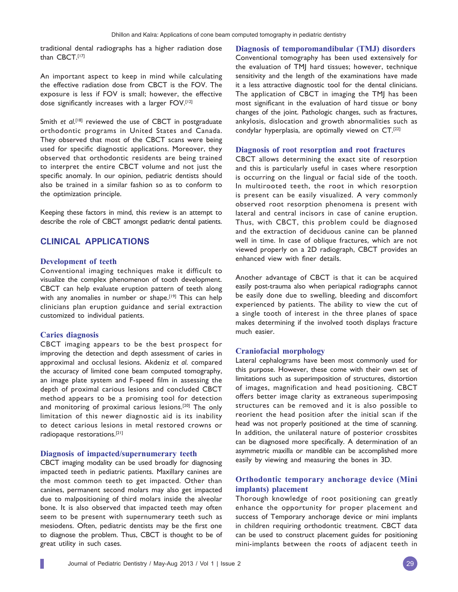traditional dental radiographs has a higher radiation dose than CBCT.[17]

An important aspect to keep in mind while calculating the effective radiation dose from CBCT is the FOV. The exposure is less if FOV is small; however, the effective dose significantly increases with a larger FOV.[12]

Smith *et al*. [18] reviewed the use of CBCT in postgraduate orthodontic programs in United States and Canada. They observed that most of the CBCT scans were being used for specific diagnostic applications. Moreover, they observed that orthodontic residents are being trained to interpret the entire CBCT volume and not just the specific anomaly. In our opinion, pediatric dentists should also be trained in a similar fashion so as to conform to the optimization principle.

Keeping these factors in mind, this review is an attempt to describe the role of CBCT amongst pediatric dental patients.

## **CLINICAL APPLICATIONS**

#### **Development of teeth**

Conventional imaging techniques make it difficult to visualize the complex phenomenon of tooth development. CBCT can help evaluate eruption pattern of teeth along with any anomalies in number or shape.<sup>[19]</sup> This can help clinicians plan eruption guidance and serial extraction customized to individual patients.

#### **Caries diagnosis**

CBCT imaging appears to be the best prospect for improving the detection and depth assessment of caries in approximal and occlusal lesions. Akdeniz *et al*. compared the accuracy of limited cone beam computed tomography, an image plate system and F-speed film in assessing the depth of proximal carious lesions and concluded CBCT method appears to be a promising tool for detection and monitoring of proximal carious lesions.[20] The only limitation of this newer diagnostic aid is its inability to detect carious lesions in metal restored crowns or radiopaque restorations.[21]

### **Diagnosis of impacted/supernumerary teeth**

CBCT imaging modality can be used broadly for diagnosing impacted teeth in pediatric patients. Maxillary canines are the most common teeth to get impacted. Other than canines, permanent second molars may also get impacted due to malpositioning of third molars inside the alveolar bone. It is also observed that impacted teeth may often seem to be present with supernumerary teeth such as mesiodens. Often, pediatric dentists may be the first one to diagnose the problem. Thus, CBCT is thought to be of great utility in such cases.

**Diagnosis of temporomandibular (TMJ) disorders** Conventional tomography has been used extensively for the evaluation of TMJ hard tissues; however, technique sensitivity and the length of the examinations have made it a less attractive diagnostic tool for the dental clinicians. The application of CBCT in imaging the TMJ has been most significant in the evaluation of hard tissue or bony changes of the joint. Pathologic changes, such as fractures, ankylosis, dislocation and growth abnormalities such as condylar hyperplasia, are optimally viewed on CT.[22]

#### **Diagnosis of root resorption and root fractures**

CBCT allows determining the exact site of resorption and this is particularly useful in cases where resorption is occurring on the lingual or facial side of the tooth. In multirooted teeth, the root in which resorption is present can be easily visualized. A very commonly observed root resorption phenomena is present with lateral and central incisors in case of canine eruption. Thus, with CBCT, this problem could be diagnosed and the extraction of deciduous canine can be planned well in time. In case of oblique fractures, which are not viewed properly on a 2D radiograph, CBCT provides an enhanced view with finer details.

Another advantage of CBCT is that it can be acquired easily post-trauma also when periapical radiographs cannot be easily done due to swelling, bleeding and discomfort experienced by patients. The ability to view the cut of a single tooth of interest in the three planes of space makes determining if the involved tooth displays fracture much easier.

#### **Craniofacial morphology**

Lateral cephalograms have been most commonly used for this purpose. However, these come with their own set of limitations such as superimposition of structures, distortion of images, magnification and head positioning. CBCT offers better image clarity as extraneous superimposing structures can be removed and it is also possible to reorient the head position after the initial scan if the head was not properly positioned at the time of scanning. In addition, the unilateral nature of posterior crossbites can be diagnosed more specifically. A determination of an asymmetric maxilla or mandible can be accomplished more easily by viewing and measuring the bones in 3D.

## **Orthodontic temporary anchorage device (Mini implants) placement**

Thorough knowledge of root positioning can greatly enhance the opportunity for proper placement and success of Temporary anchorage device or mini implants in children requiring orthodontic treatment. CBCT data can be used to construct placement guides for positioning mini-implants between the roots of adjacent teeth in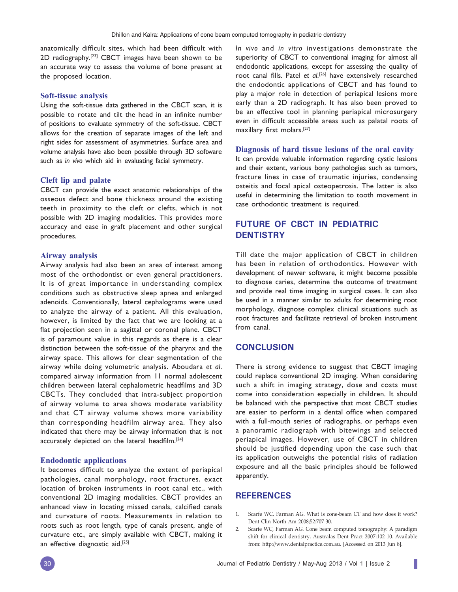anatomically difficult sites, which had been difficult with 2D radiography.[23] CBCT images have been shown to be an accurate way to assess the volume of bone present at the proposed location.

#### **Soft-tissue analysis**

Using the soft-tissue data gathered in the CBCT scan, it is possible to rotate and tilt the head in an infinite number of positions to evaluate symmetry of the soft-tissue. CBCT allows for the creation of separate images of the left and right sides for assessment of asymmetries. Surface area and volume analysis have also been possible through 3D software such as *in vivo* which aid in evaluating facial symmetry.

## **Cleft lip and palate**

CBCT can provide the exact anatomic relationships of the osseous defect and bone thickness around the existing teeth in proximity to the cleft or clefts, which is not possible with 2D imaging modalities. This provides more accuracy and ease in graft placement and other surgical procedures.

#### **Airway analysis**

Airway analysis had also been an area of interest among most of the orthodontist or even general practitioners. It is of great importance in understanding complex conditions such as obstructive sleep apnea and enlarged adenoids. Conventionally, lateral cephalograms were used to analyze the airway of a patient. All this evaluation, however, is limited by the fact that we are looking at a flat projection seen in a sagittal or coronal plane. CBCT is of paramount value in this regards as there is a clear distinction between the soft-tissue of the pharynx and the airway space. This allows for clear segmentation of the airway while doing volumetric analysis. Aboudara *et al*. compared airway information from 11 normal adolescent children between lateral cephalometric headfilms and 3D CBCTs. They concluded that intra-subject proportion of airway volume to area shows moderate variability and that CT airway volume shows more variability than corresponding headfilm airway area. They also indicated that there may be airway information that is not accurately depicted on the lateral headfilm.<sup>[24]</sup>

## **Endodontic applications**

It becomes difficult to analyze the extent of periapical pathologies, canal morphology, root fractures, exact location of broken instruments in root canal etc., with conventional 2D imaging modalities. CBCT provides an enhanced view in locating missed canals, calcified canals and curvature of roots. Measurements in relation to roots such as root length, type of canals present, angle of curvature etc., are simply available with CBCT, making it an effective diagnostic aid.[25]

*In vivo* and *in vitro* investigations demonstrate the superiority of CBCT to conventional imaging for almost all endodontic applications, except for assessing the quality of root canal fills. Patel *et al*. [26] have extensively researched the endodontic applications of CBCT and has found to play a major role in detection of periapical lesions more early than a 2D radiograph. It has also been proved to be an effective tool in planning periapical microsurgery even in difficult accessible areas such as palatal roots of maxillary first molars.[27]

#### **Diagnosis of hard tissue lesions of the oral cavity**

It can provide valuable information regarding cystic lesions and their extent, various bony pathologies such as tumors, fracture lines in case of traumatic injuries, condensing osteitis and focal apical osteopetrosis. The latter is also useful in determining the limitation to tooth movement in case orthodontic treatment is required.

# **FUTURE OF CBCT IN PEDIATRIC DENTISTRY**

Till date the major application of CBCT in children has been in relation of orthodontics. However with development of newer software, it might become possible to diagnose caries, determine the outcome of treatment and provide real time imaging in surgical cases. It can also be used in a manner similar to adults for determining root morphology, diagnose complex clinical situations such as root fractures and facilitate retrieval of broken instrument from canal.

## **CONCLUSION**

There is strong evidence to suggest that CBCT imaging could replace conventional 2D imaging. When considering such a shift in imaging strategy, dose and costs must come into consideration especially in children. It should be balanced with the perspective that most CBCT studies are easier to perform in a dental office when compared with a full-mouth series of radiographs, or perhaps even a panoramic radiograph with bitewings and selected periapical images. However, use of CBCT in children should be justified depending upon the case such that its application outweighs the potential risks of radiation exposure and all the basic principles should be followed apparently.

## **REFERENCES**

- 1. Scarfe WC, Farman AG. What is cone-beam CT and how does it work? Dent Clin North Am 2008;52:707-30.
- 2. Scarfe WC, Farman AG. Cone beam computed tomography: A paradigm shift for clinical dentistry. Australas Dent Pract 2007:102-10. Available from: http://www.dentalpractice.com.au. [Accessed on 2013 Jun 8].

I.